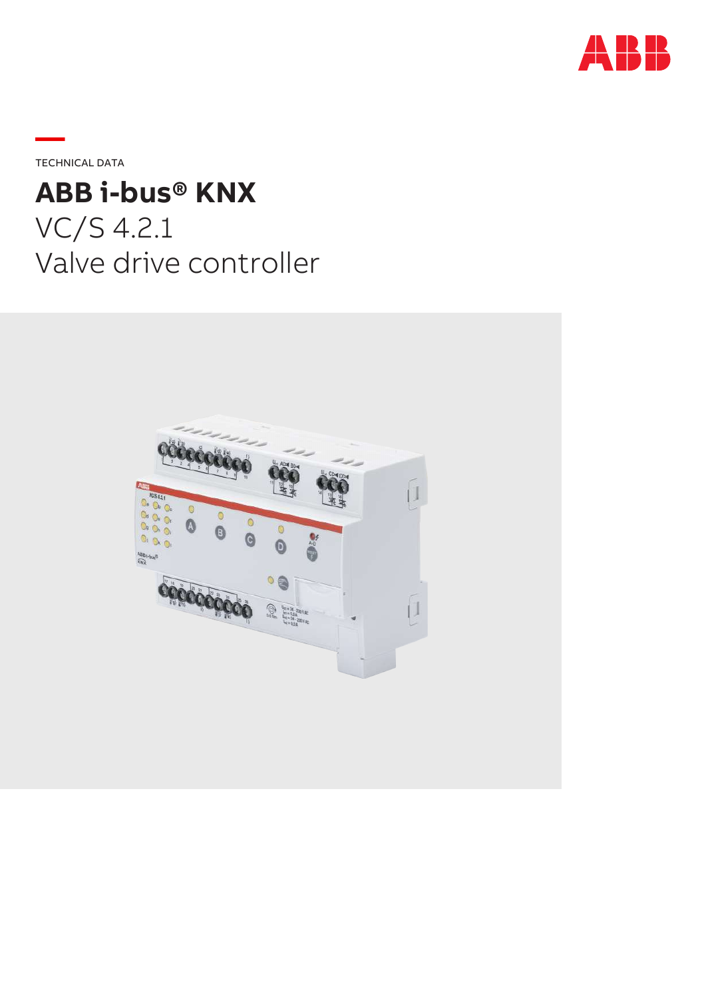

**—**TECHNICAL DATA

# **ABB i-bus® KNX**

VC/S 4.2.1 Valve drive controller

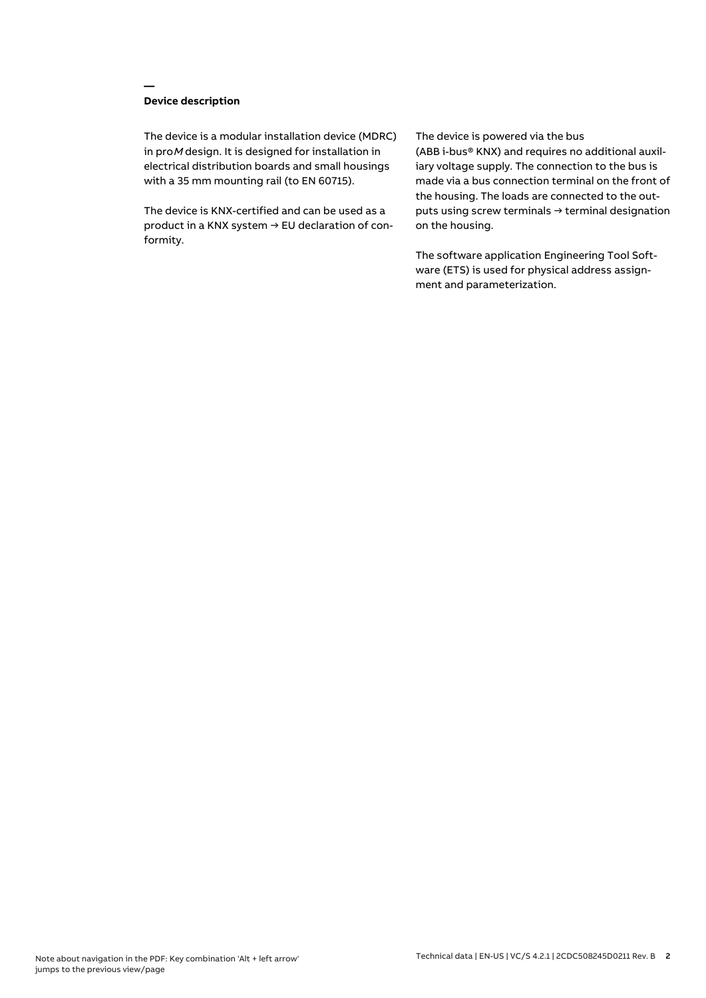## **Device description**

**—**

The device is a modular installation device (MDRC) in proM design. It is designed for installation in electrical distribution boards and small housings with a 35 mm mounting rail (to EN 60715).

The device is KNX-certified and can be used as a product in a KNX system → EU declaration of conformity.

#### The device is powered via the bus

(ABB i-bus® KNX) and requires no additional auxiliary voltage supply. The connection to the bus is made via a bus connection terminal on the front of the housing. The loads are connected to the outputs using screw terminals → terminal designation on the housing.

The software application Engineering Tool Software (ETS) is used for physical address assignment and parameterization.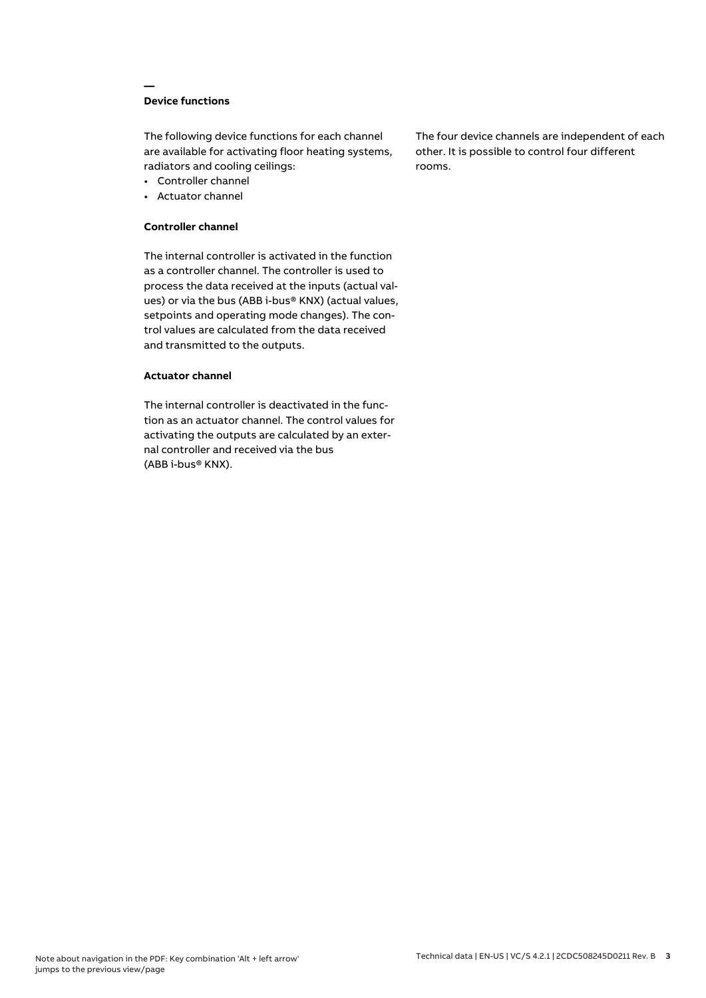## **Device functions**

**—**

The following device functions for each channel are available for activating floor heating systems, radiators and cooling ceilings:

- Controller channel
- Actuator channel

#### **Controller channel**

The internal controller is activated in the function as a controller channel. The controller is used to process the data received at the inputs (actual values) or via the bus (ABB i-bus® KNX) (actual values, setpoints and operating mode changes). The control values are calculated from the data received and transmitted to the outputs.

#### **Actuator channel**

The internal controller is deactivated in the function as an actuator channel. The control values for activating the outputs are calculated by an external controller and received via the bus (ABB i-bus® KNX).

The four device channels are independent of each other. It is possible to control four different rooms.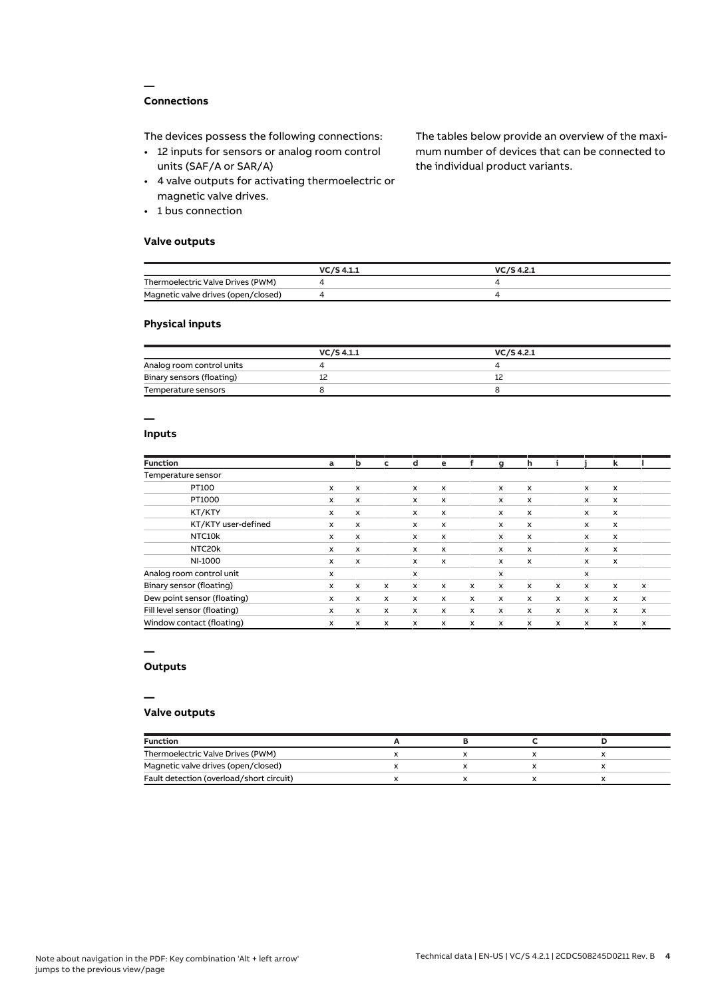## **Connections**

**—**

The devices possess the following connections:

- 12 inputs for sensors or analog room control units (SAF/A or SAR/A)
- 4 valve outputs for activating thermoelectric or magnetic valve drives.
- 1 bus connection

## **Valve outputs**

The tables below provide an overview of the maximum number of devices that can be connected to the individual product variants.

|                                     | VC/S 4.1.1 | $VC/S$ 4.2.1 |
|-------------------------------------|------------|--------------|
| Thermoelectric Valve Drives (PWM)   |            |              |
| Magnetic valve drives (open/closed) |            |              |

#### **Physical inputs**

|                           | VC/S 4.1.1 | VC/S 4.2.1 |  |
|---------------------------|------------|------------|--|
| Analog room control units |            |            |  |
| Binary sensors (floating) |            |            |  |
| Temperature sensors       |            |            |  |

## **—**

## **Inputs**

| <b>Function</b>              | a                         | b                         | c            | d                         | e                         | f            | a            | h                         |   |              | k            |   |
|------------------------------|---------------------------|---------------------------|--------------|---------------------------|---------------------------|--------------|--------------|---------------------------|---|--------------|--------------|---|
| Temperature sensor           |                           |                           |              |                           |                           |              |              |                           |   |              |              |   |
| PT100                        | x                         | x                         |              | X                         | x                         |              | x            | X                         |   | x            | x            |   |
| PT1000                       | x                         | x                         |              | $\boldsymbol{\mathsf{x}}$ | x                         |              | x            | X                         |   | x            | X            |   |
| KT/KTY                       | x                         | x                         |              | x                         | $\boldsymbol{\mathsf{x}}$ |              | x            | $\boldsymbol{\mathsf{x}}$ |   | x            | X            |   |
| KT/KTY user-defined          | $\boldsymbol{\mathsf{x}}$ | $\boldsymbol{\mathsf{x}}$ |              | $\boldsymbol{\mathsf{x}}$ | $\boldsymbol{\mathsf{x}}$ |              | x            | $\mathsf{x}$              |   | x            | $\mathsf{x}$ |   |
| NTC <sub>10</sub> k          | x                         | x                         |              | $\boldsymbol{\mathsf{x}}$ | x                         |              | x            | $\mathsf{x}$              |   | x            | x            |   |
| NTC20k                       | x                         | x                         |              | $\boldsymbol{\mathsf{x}}$ | $\boldsymbol{\mathsf{x}}$ |              | x            | $\mathsf{x}$              |   | x            | x            |   |
| NI-1000                      | x                         | X                         |              | $\boldsymbol{\mathsf{x}}$ | $\boldsymbol{\mathsf{x}}$ |              | x            | $\boldsymbol{\mathsf{x}}$ |   | x            | $\mathsf{x}$ |   |
| Analog room control unit     | x                         |                           |              | X                         |                           |              | x            |                           |   | x            |              |   |
| Binary sensor (floating)     | x                         | x                         | $\mathsf{x}$ | x                         | $\boldsymbol{\mathsf{x}}$ | $\mathsf{x}$ | $\mathsf{x}$ | X                         | x | $\mathsf{x}$ | x            | x |
| Dew point sensor (floating)  | x                         | x                         | x            | $\boldsymbol{\mathsf{x}}$ | $\boldsymbol{\mathsf{x}}$ | $\times$     | x            | $\mathsf{x}$              | x | x            | x            | x |
| Fill level sensor (floating) | x                         | x                         | x            | x                         | x                         | x            | x            | $\mathsf{x}$              | x | x            | x            | x |
| Window contact (floating)    | x                         | x                         | x            | x                         | X                         | x            | x            | $\mathsf{x}$              | x | x            | x            | X |

#### **—**

## **Outputs**

#### **—**

#### **Valve outputs**

| <b>Function</b>                          |  |  |
|------------------------------------------|--|--|
| Thermoelectric Valve Drives (PWM)        |  |  |
| Magnetic valve drives (open/closed)      |  |  |
| Fault detection (overload/short circuit) |  |  |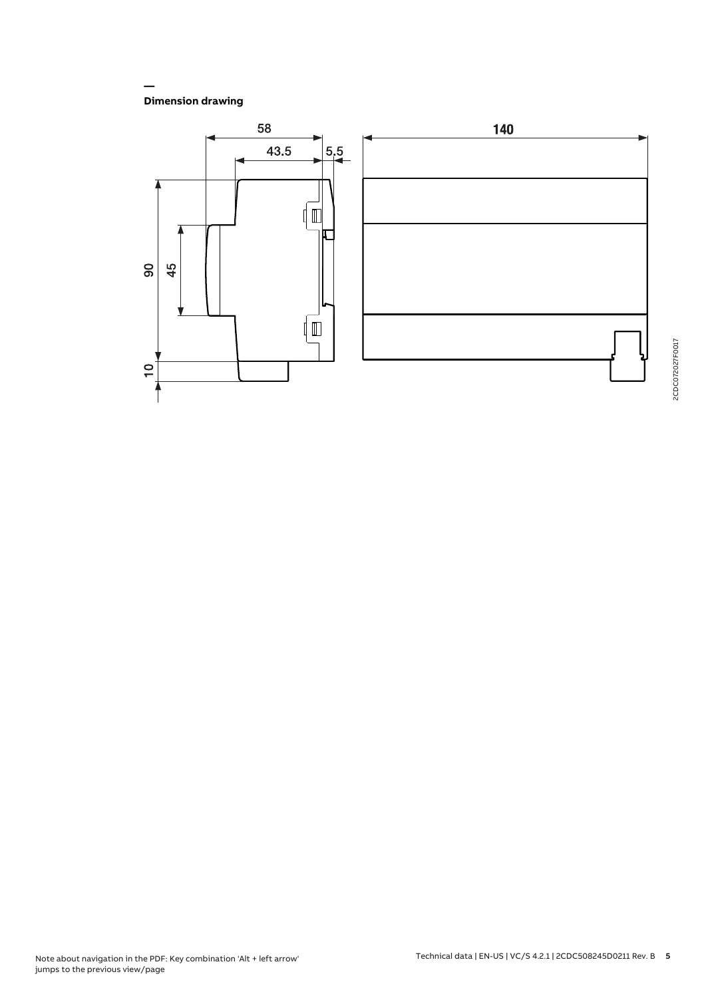**Dimension drawing**

**—**

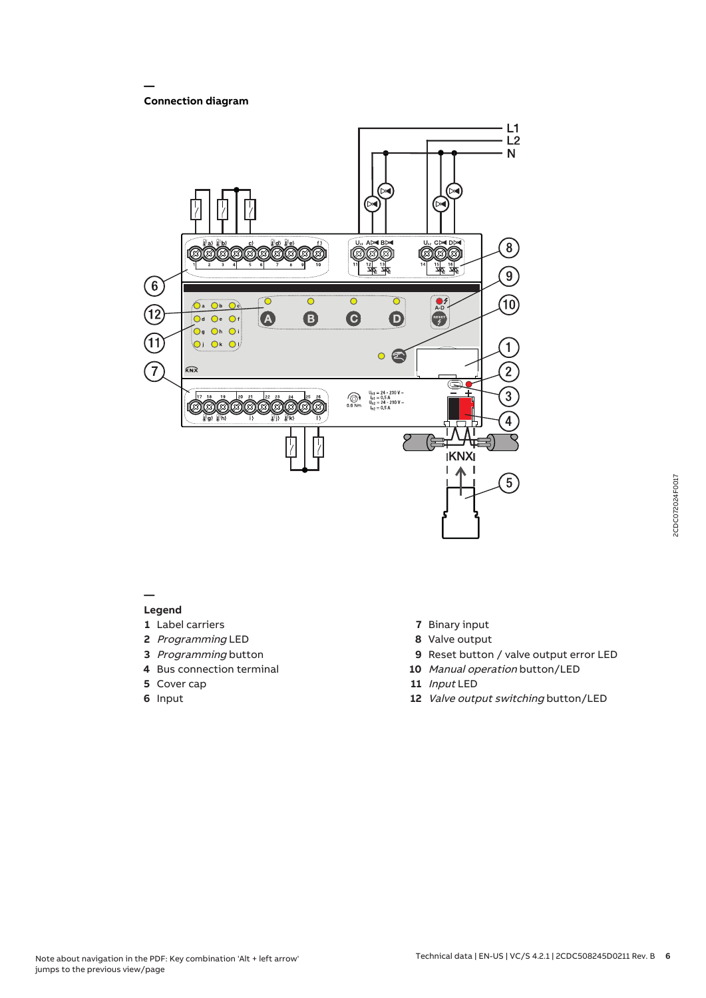## **Connection diagram**

**—**



#### **—**

## **Legend**

- **1** Label carriers
- **2** Programming LED
- **3** Programming button
- **4** Bus connection terminal
- **5** Cover cap
- **6** Input
- **7** Binary input
- **8** Valve output
- **9** Reset button / valve output error LED
- **10** Manual operation button/LED
- **11** Input LED
- **12** Valve output switching button/LED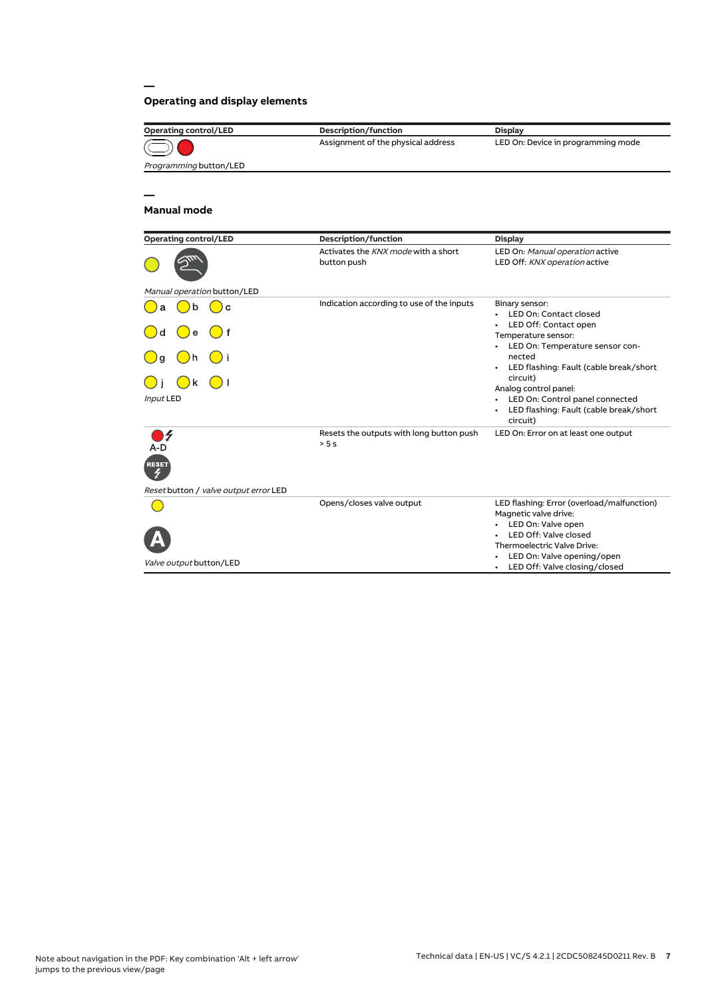## **Operating and display elements**

| <b>Operating control/LED</b> | Description/function               | <b>Display</b>                     |
|------------------------------|------------------------------------|------------------------------------|
| $\odot$                      | Assignment of the physical address | LED On: Device in programming mode |
| Programming button/LED       |                                    |                                    |
|                              |                                    |                                    |

## **Manual mode**

**—**

**—**

| <b>Operating control/LED</b>          | Description/function                               | <b>Display</b>                                                                                                                                    |  |  |
|---------------------------------------|----------------------------------------------------|---------------------------------------------------------------------------------------------------------------------------------------------------|--|--|
|                                       | Activates the KNX mode with a short<br>button push | LED On: Manual operation active<br>LED Off: KNX operation active                                                                                  |  |  |
| Manual operation button/LED           |                                                    |                                                                                                                                                   |  |  |
| b<br>$\mathbf{C}$<br>a<br>۱d<br>e     | Indication according to use of the inputs          | Binary sensor:<br><b>LED On: Contact closed</b><br>LED Off: Contact open<br>Temperature sensor:                                                   |  |  |
| h<br>) q                              |                                                    | LED On: Temperature sensor con-<br>nected<br>LED flashing: Fault (cable break/short                                                               |  |  |
| k<br>Input LED                        |                                                    | circuit)<br>Analog control panel:<br>LED On: Control panel connected<br>LED flashing: Fault (cable break/short<br>circuit)                        |  |  |
| 4<br>A-D<br><b>RESET</b>              | Resets the outputs with long button push<br>> 5s   | LED On: Error on at least one output                                                                                                              |  |  |
| Reset button / valve output error LED |                                                    |                                                                                                                                                   |  |  |
|                                       | Opens/closes valve output                          | LED flashing: Error (overload/malfunction)<br>Magnetic valve drive:<br>LED On: Valve open<br>LED Off: Valve closed<br>Thermoelectric Valve Drive: |  |  |
| Valve output button/LED               |                                                    | LED On: Valve opening/open<br>LED Off: Valve closing/closed<br>$\bullet$                                                                          |  |  |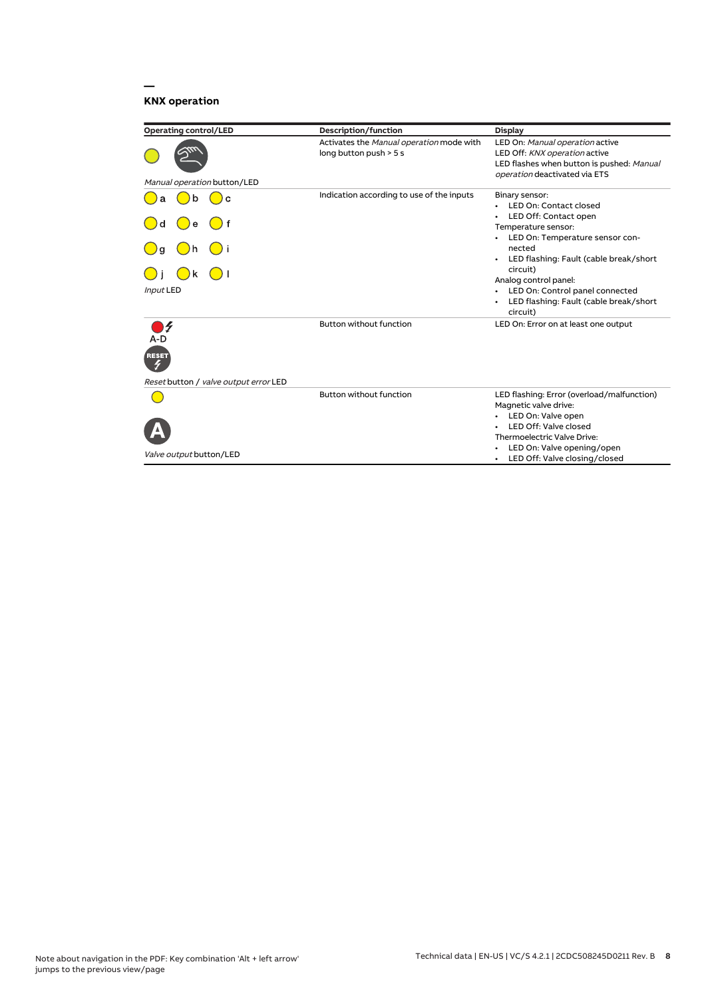## **KNX operation**

**—**

| <b>Operating control/LED</b>                                 | Description/function                                               | <b>Display</b>                                                                                                                                                                                                                                                                                                         |
|--------------------------------------------------------------|--------------------------------------------------------------------|------------------------------------------------------------------------------------------------------------------------------------------------------------------------------------------------------------------------------------------------------------------------------------------------------------------------|
| Manual operation button/LED                                  | Activates the Manual operation mode with<br>long button push > 5 s | LED On: Manual operation active<br>LED Off: KNX operation active<br>LED flashes when button is pushed: Manual<br>operation deactivated via ETS                                                                                                                                                                         |
| b<br>C<br>e<br>d<br>k<br><b>Input LED</b>                    | Indication according to use of the inputs                          | Binary sensor:<br><b>LED On: Contact closed</b><br>LED Off: Contact open<br>Temperature sensor:<br>LED On: Temperature sensor con-<br>nected<br>LED flashing: Fault (cable break/short<br>circuit)<br>Analog control panel:<br>• LED On: Control panel connected<br>LED flashing: Fault (cable break/short<br>circuit) |
| A-D<br><b>RESET</b><br>Reset button / valve output error LED | <b>Button without function</b>                                     | LED On: Error on at least one output                                                                                                                                                                                                                                                                                   |
| Valve output button/LED                                      | <b>Button without function</b>                                     | LED flashing: Error (overload/malfunction)<br>Magnetic valve drive:<br>• LED On: Valve open<br>LED Off: Valve closed<br>Thermoelectric Valve Drive:<br>LED On: Valve opening/open<br>LED Off: Valve closing/closed                                                                                                     |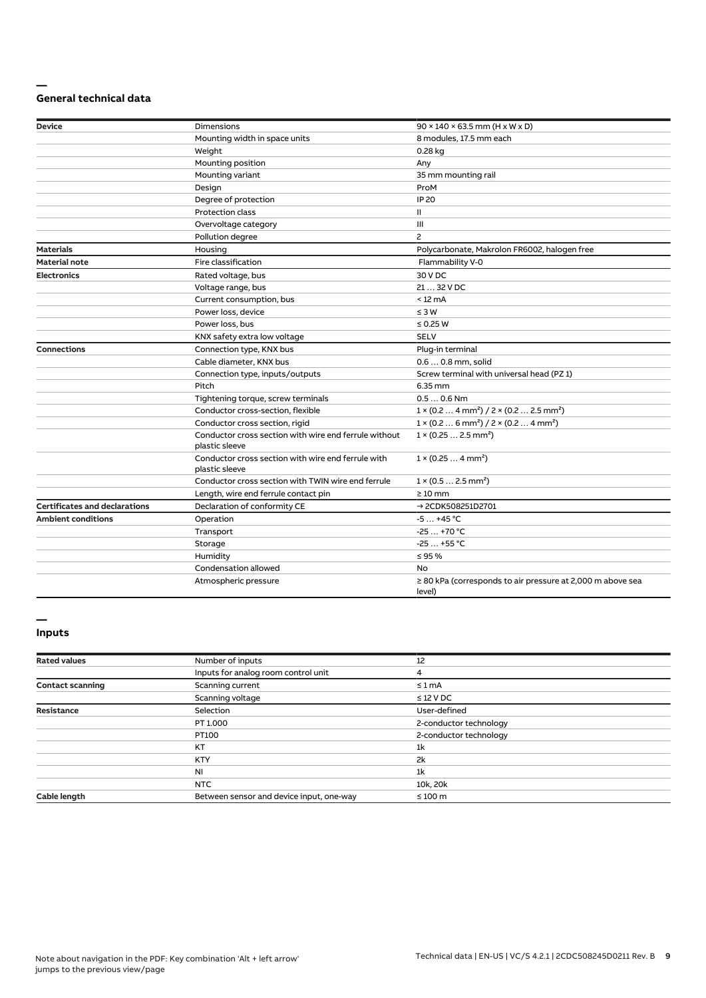#### **— General technical data**

| <b>Device</b>                        | <b>Dimensions</b>                                                       | $90 \times 140 \times 63.5$ mm (H x W x D)                                      |
|--------------------------------------|-------------------------------------------------------------------------|---------------------------------------------------------------------------------|
|                                      | Mounting width in space units                                           | 8 modules, 17.5 mm each                                                         |
|                                      | Weight                                                                  | 0.28 kg                                                                         |
|                                      | Mounting position                                                       | Any                                                                             |
|                                      | Mounting variant                                                        | 35 mm mounting rail                                                             |
|                                      | Design                                                                  | ProM                                                                            |
|                                      | Degree of protection                                                    | <b>IP 20</b>                                                                    |
|                                      | <b>Protection class</b>                                                 | Ш                                                                               |
|                                      | Overvoltage category                                                    | Ш                                                                               |
|                                      | Pollution degree                                                        | $\overline{c}$                                                                  |
| <b>Materials</b>                     | Housing                                                                 | Polycarbonate, Makrolon FR6002, halogen free                                    |
| <b>Material note</b>                 | Fire classification                                                     | Flammability V-0                                                                |
| <b>Electronics</b>                   | Rated voltage, bus                                                      | 30 V DC                                                                         |
|                                      | Voltage range, bus                                                      | 21  32 V DC                                                                     |
|                                      | Current consumption, bus                                                | $< 12 \text{ mA}$                                                               |
|                                      | Power loss, device                                                      | $\leq 3 W$                                                                      |
|                                      | Power loss, bus                                                         | $\leq$ 0.25 W                                                                   |
|                                      | KNX safety extra low voltage                                            | <b>SELV</b>                                                                     |
| <b>Connections</b>                   | Connection type, KNX bus                                                | Plug-in terminal                                                                |
|                                      | Cable diameter, KNX bus                                                 | 0.6  0.8 mm, solid                                                              |
|                                      | Connection type, inputs/outputs                                         | Screw terminal with universal head (PZ 1)                                       |
|                                      | Pitch                                                                   | 6.35 mm                                                                         |
|                                      | Tightening torque, screw terminals                                      | $0.50.6$ Nm                                                                     |
|                                      | Conductor cross-section, flexible                                       | $1 \times (0.2 \ldots 4 \text{ mm}^2) / 2 \times (0.2 \ldots 2.5 \text{ mm}^2)$ |
|                                      | Conductor cross section, rigid                                          | $1 \times (0.2 \ldots 6 \text{ mm}^2) / 2 \times (0.2 \ldots 4 \text{ mm}^2)$   |
|                                      | Conductor cross section with wire end ferrule without<br>plastic sleeve | $1 \times (0.252.5 \text{ mm}^2)$                                               |
|                                      | Conductor cross section with wire end ferrule with<br>plastic sleeve    | $1 \times (0.254 \text{ mm}^2)$                                                 |
|                                      | Conductor cross section with TWIN wire end ferrule                      | $1 \times (0.52.5)$ mm <sup>2</sup> )                                           |
|                                      | Length, wire end ferrule contact pin                                    | $\geq 10$ mm                                                                    |
| <b>Certificates and declarations</b> | Declaration of conformity CE                                            | → 2CDK508251D2701                                                               |
| <b>Ambient conditions</b>            | Operation                                                               | $-5+45$ °C                                                                      |
|                                      | Transport                                                               | $-25+70 °C$                                                                     |
|                                      | Storage                                                                 | $-25+55$ °C                                                                     |
|                                      | Humidity                                                                | $\leq$ 95 %                                                                     |
|                                      | Condensation allowed                                                    | No                                                                              |
|                                      | Atmospheric pressure                                                    | $\geq$ 80 kPa (corresponds to air pressure at 2,000 m above sea<br>level)       |

#### **— Inputs**

### **Rated values** 12<br> **Rated values** 12<br> **Rated values** 12<br> **IPULS** for analog room control unit Inputs for analog room control unit 4 The Contact scanning<br>
Scanning current ≤ 1 mA Scanning voltage ≤ 12 V DC **Resistance** Selection Selection User-defined User-defined User-defined PT 1.000 2-conductor t 2-conductor technology PT100 2-conductor technology KT  $1k$ KTY 2k  $N$ I  $1$ k NTC 10k, 20k Cable length Between sensor and device input, one-way ≤ 100 m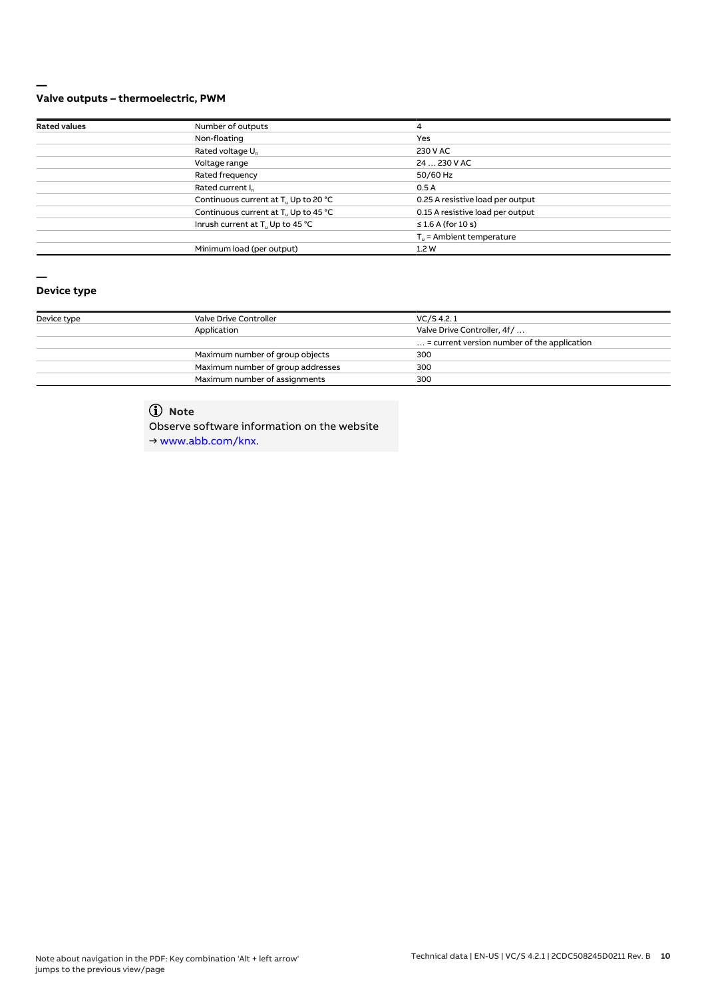#### **— Valve outputs – thermoelectric, PWM**

| <b>Rated values</b> | Number of outputs                                | 4                                    |
|---------------------|--------------------------------------------------|--------------------------------------|
|                     | Non-floating                                     | Yes                                  |
|                     | Rated voltage U <sub>n</sub>                     | 230 V AC                             |
|                     | Voltage range                                    | 24  230 V AC                         |
|                     | Rated frequency                                  | 50/60 Hz                             |
|                     | Rated current I <sub>n</sub>                     | 0.5A                                 |
|                     | Continuous current at T <sub>u</sub> Up to 20 °C | 0.25 A resistive load per output     |
|                     | Continuous current at T <sub>u</sub> Up to 45 °C | 0.15 A resistive load per output     |
|                     | Inrush current at T <sub>u</sub> Up to 45 °C     | $\leq$ 1.6 A (for 10 s)              |
|                     |                                                  | $T_{\text{u}}$ = Ambient temperature |
|                     | Minimum load (per output)                        | 1.2W                                 |

# **—**

## **Device type**

| Device type | Valve Drive Controller            | VC/S 4.2.1                                           |
|-------------|-----------------------------------|------------------------------------------------------|
|             | Application                       | Valve Drive Controller, 4f/                          |
|             |                                   | $\ldots$ = current version number of the application |
|             | Maximum number of group objects   | 300                                                  |
|             | Maximum number of group addresses | 300                                                  |
|             | Maximum number of assignments     | 300                                                  |

# **Note**

Observe software information on the website

→ www.abb.com/knx.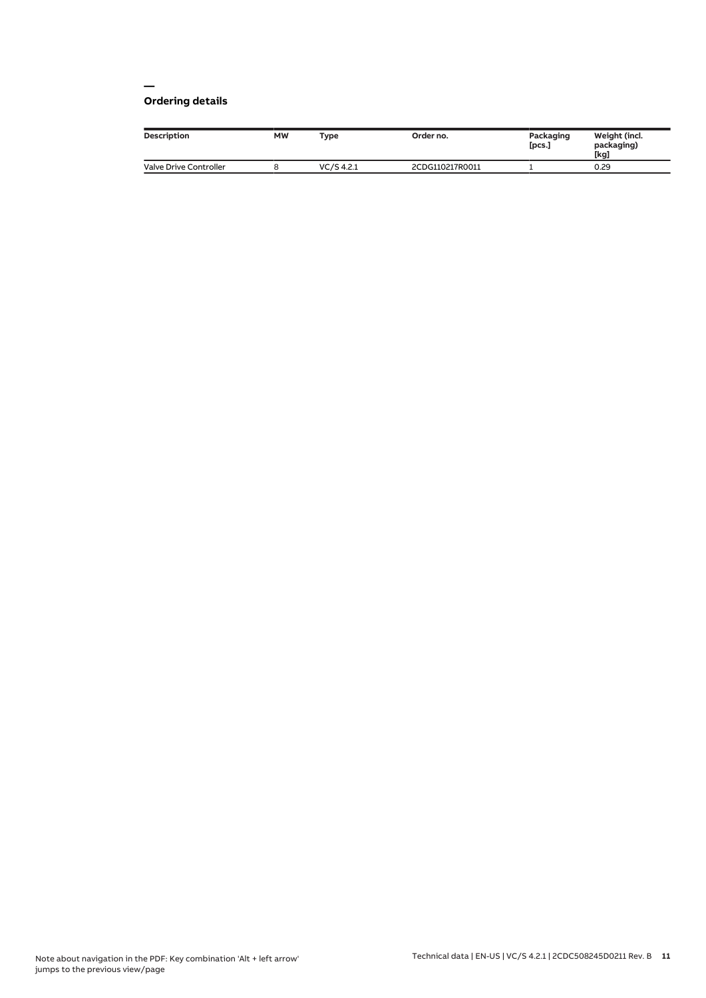#### **— Ordering details**

| <b>Description</b>            | <b>MW</b> | Type         | Order no.       | Packaging<br>[pcs.] | Weight (incl.<br>packaging)<br>[kg] |
|-------------------------------|-----------|--------------|-----------------|---------------------|-------------------------------------|
| <b>Valve Drive Controller</b> |           | $VC/S$ 4.2.1 | 2CDG110217R0011 |                     | 0.29                                |